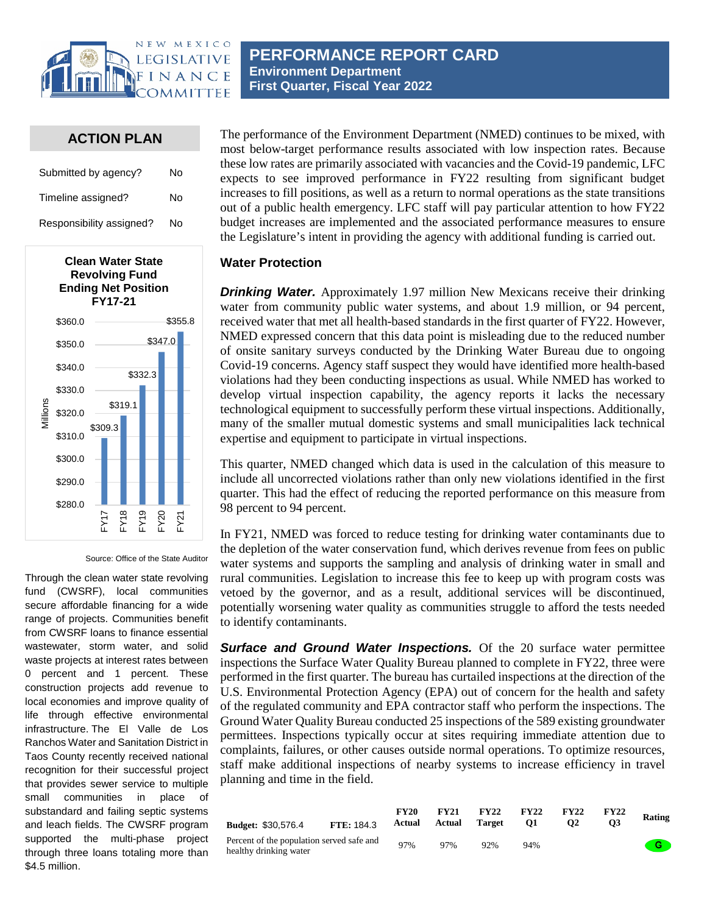

## **ACTION PLAN**

| Submitted by agency?     | No |
|--------------------------|----|
| Timeline assigned?       | N٥ |
| Responsibility assigned? | No |



Source: Office of the State Auditor

Through the clean water state revolving fund (CWSRF), local communities secure affordable financing for a wide range of projects. Communities benefit from CWSRF loans to finance essential wastewater, storm water, and solid waste projects at interest rates between 0 percent and 1 percent. These construction projects add revenue to local economies and improve quality of life through effective environmental infrastructure. The El Valle de Los Ranchos Water and Sanitation District in Taos County recently received national recognition for their successful project that provides sewer service to multiple small communities in place of substandard and failing septic systems and leach fields. The CWSRF program supported the multi-phase project through three loans totaling more than \$4.5 million.

The performance of the Environment Department (NMED) continues to be mixed, with most below-target performance results associated with low inspection rates. Because these low rates are primarily associated with vacancies and the Covid-19 pandemic, LFC expects to see improved performance in FY22 resulting from significant budget increases to fill positions, as well as a return to normal operations as the state transitions out of a public health emergency. LFC staff will pay particular attention to how FY22 budget increases are implemented and the associated performance measures to ensure the Legislature's intent in providing the agency with additional funding is carried out.

## **Water Protection**

*Drinking Water.* Approximately 1.97 million New Mexicans receive their drinking water from community public water systems, and about 1.9 million, or 94 percent, received water that met all health-based standards in the first quarter of FY22. However, NMED expressed concern that this data point is misleading due to the reduced number of onsite sanitary surveys conducted by the Drinking Water Bureau due to ongoing Covid-19 concerns. Agency staff suspect they would have identified more health-based violations had they been conducting inspections as usual. While NMED has worked to develop virtual inspection capability, the agency reports it lacks the necessary technological equipment to successfully perform these virtual inspections. Additionally, many of the smaller mutual domestic systems and small municipalities lack technical expertise and equipment to participate in virtual inspections.

This quarter, NMED changed which data is used in the calculation of this measure to include all uncorrected violations rather than only new violations identified in the first quarter. This had the effect of reducing the reported performance on this measure from 98 percent to 94 percent.

In FY21, NMED was forced to reduce testing for drinking water contaminants due to the depletion of the water conservation fund, which derives revenue from fees on public water systems and supports the sampling and analysis of drinking water in small and rural communities. Legislation to increase this fee to keep up with program costs was vetoed by the governor, and as a result, additional services will be discontinued, potentially worsening water quality as communities struggle to afford the tests needed to identify contaminants.

**Surface and Ground Water Inspections.** Of the 20 surface water permittee inspections the Surface Water Quality Bureau planned to complete in FY22, three were performed in the first quarter. The bureau has curtailed inspections at the direction of the U.S. Environmental Protection Agency (EPA) out of concern for the health and safety of the regulated community and EPA contractor staff who perform the inspections. The Ground Water Quality Bureau conducted 25 inspections of the 589 existing groundwater permittees. Inspections typically occur at sites requiring immediate attention due to complaints, failures, or other causes outside normal operations. To optimize resources, staff make additional inspections of nearby systems to increase efficiency in travel planning and time in the field.

| <b>Budget: \$30,576.4</b>                                           | <b>FTE: 184.3</b> | <b>FY20</b><br>Actual | <b>FY21</b><br>Actual | <b>FY22</b><br>Target | <b>FY22</b><br>01 | <b>FY22</b> | <b>FY22</b> | Rating      |
|---------------------------------------------------------------------|-------------------|-----------------------|-----------------------|-----------------------|-------------------|-------------|-------------|-------------|
| Percent of the population served safe and<br>healthy drinking water |                   | 97%                   | 97%                   | 92%                   | 94%               |             |             | <b>A</b> GT |